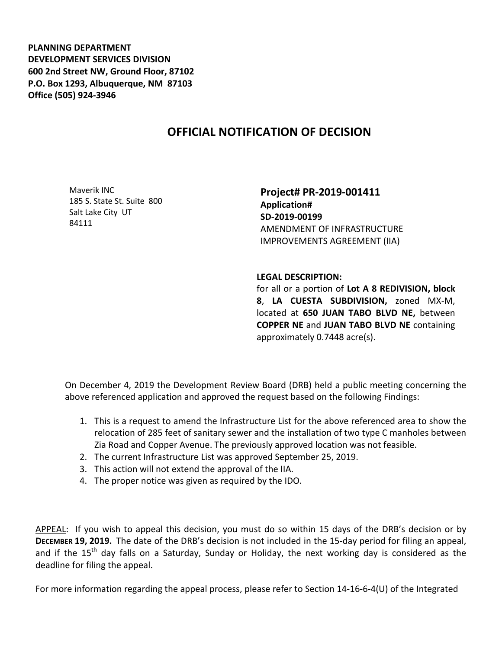**PLANNING DEPARTMENT DEVELOPMENT SERVICES DIVISION 600 2nd Street NW, Ground Floor, 87102 P.O. Box 1293, Albuquerque, NM 87103 Office (505) 924-3946** 

## **OFFICIAL NOTIFICATION OF DECISION**

Maverik INC 185 S. State St. Suite 800 Salt Lake City UT 84111

**Project# PR-2019-001411 Application# SD-2019-00199** AMENDMENT OF INFRASTRUCTURE IMPROVEMENTS AGREEMENT (IIA)

## **LEGAL DESCRIPTION:**

for all or a portion of **Lot A 8 REDIVISION, block 8**, **LA CUESTA SUBDIVISION,** zoned MX-M, located at **650 JUAN TABO BLVD NE,** between **COPPER NE** and **JUAN TABO BLVD NE** containing approximately 0.7448 acre(s).

On December 4, 2019 the Development Review Board (DRB) held a public meeting concerning the above referenced application and approved the request based on the following Findings:

- 1. This is a request to amend the Infrastructure List for the above referenced area to show the relocation of 285 feet of sanitary sewer and the installation of two type C manholes between Zia Road and Copper Avenue. The previously approved location was not feasible.
- 2. The current Infrastructure List was approved September 25, 2019.
- 3. This action will not extend the approval of the IIA.
- 4. The proper notice was given as required by the IDO.

APPEAL: If you wish to appeal this decision, you must do so within 15 days of the DRB's decision or by **DECEMBER 19, 2019.** The date of the DRB's decision is not included in the 15-day period for filing an appeal, and if the  $15<sup>th</sup>$  day falls on a Saturday, Sunday or Holiday, the next working day is considered as the deadline for filing the appeal.

For more information regarding the appeal process, please refer to Section 14-16-6-4(U) of the Integrated